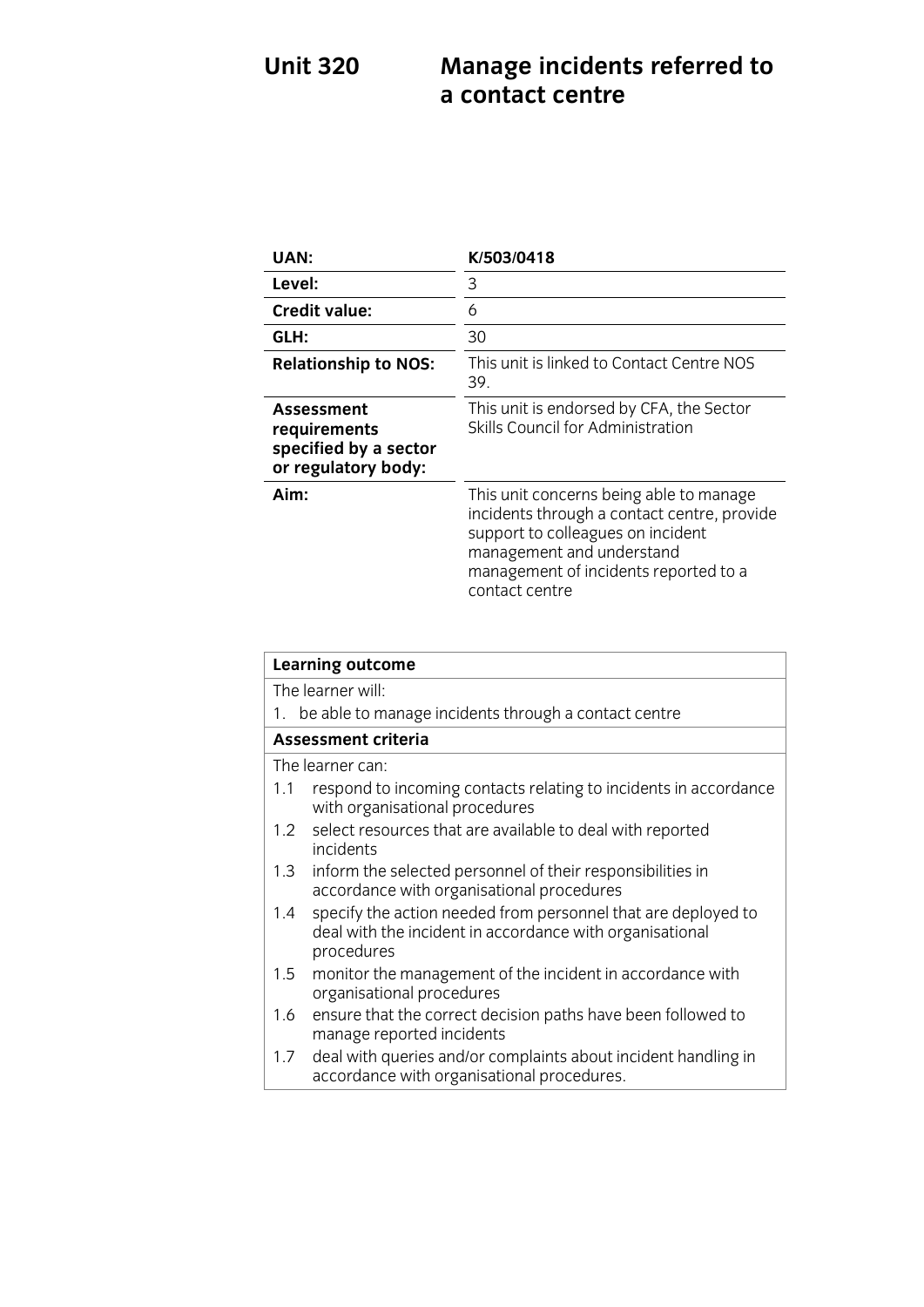# **Unit 320 Managements referred to 220 Managements referred to 23**

| UAN:                                                                       | K/503/0418                                                                                                                                                                                                          |
|----------------------------------------------------------------------------|---------------------------------------------------------------------------------------------------------------------------------------------------------------------------------------------------------------------|
| Level:                                                                     | 3                                                                                                                                                                                                                   |
| <b>Credit value:</b>                                                       | 6                                                                                                                                                                                                                   |
| GLH:                                                                       | 30                                                                                                                                                                                                                  |
| <b>Relationship to NOS:</b>                                                | This unit is linked to Contact Centre NOS<br>39.                                                                                                                                                                    |
| Assessment<br>requirements<br>specified by a sector<br>or regulatory body: | This unit is endorsed by CFA, the Sector<br>Skills Council for Administration                                                                                                                                       |
| Aim:                                                                       | This unit concerns being able to manage<br>incidents through a contact centre, provide<br>support to colleagues on incident<br>management and understand<br>management of incidents reported to a<br>contact centre |

| <b>Learning outcome</b>                                                                                                                        |  |
|------------------------------------------------------------------------------------------------------------------------------------------------|--|
| The learner will:                                                                                                                              |  |
| 1. be able to manage incidents through a contact centre                                                                                        |  |
| <b>Assessment criteria</b>                                                                                                                     |  |
| The learner can:                                                                                                                               |  |
| respond to incoming contacts relating to incidents in accordance<br>1.1<br>with organisational procedures                                      |  |
| 1.2 select resources that are available to deal with reported<br>incidents                                                                     |  |
| inform the selected personnel of their responsibilities in<br>1.3<br>accordance with organisational procedures                                 |  |
| specify the action needed from personnel that are deployed to<br>1.4<br>deal with the incident in accordance with organisational<br>procedures |  |
| monitor the management of the incident in accordance with<br>1.5<br>organisational procedures                                                  |  |
| ensure that the correct decision paths have been followed to<br>1.6<br>manage reported incidents                                               |  |
| deal with queries and/or complaints about incident handling in<br>1.7<br>accordance with organisational procedures.                            |  |
|                                                                                                                                                |  |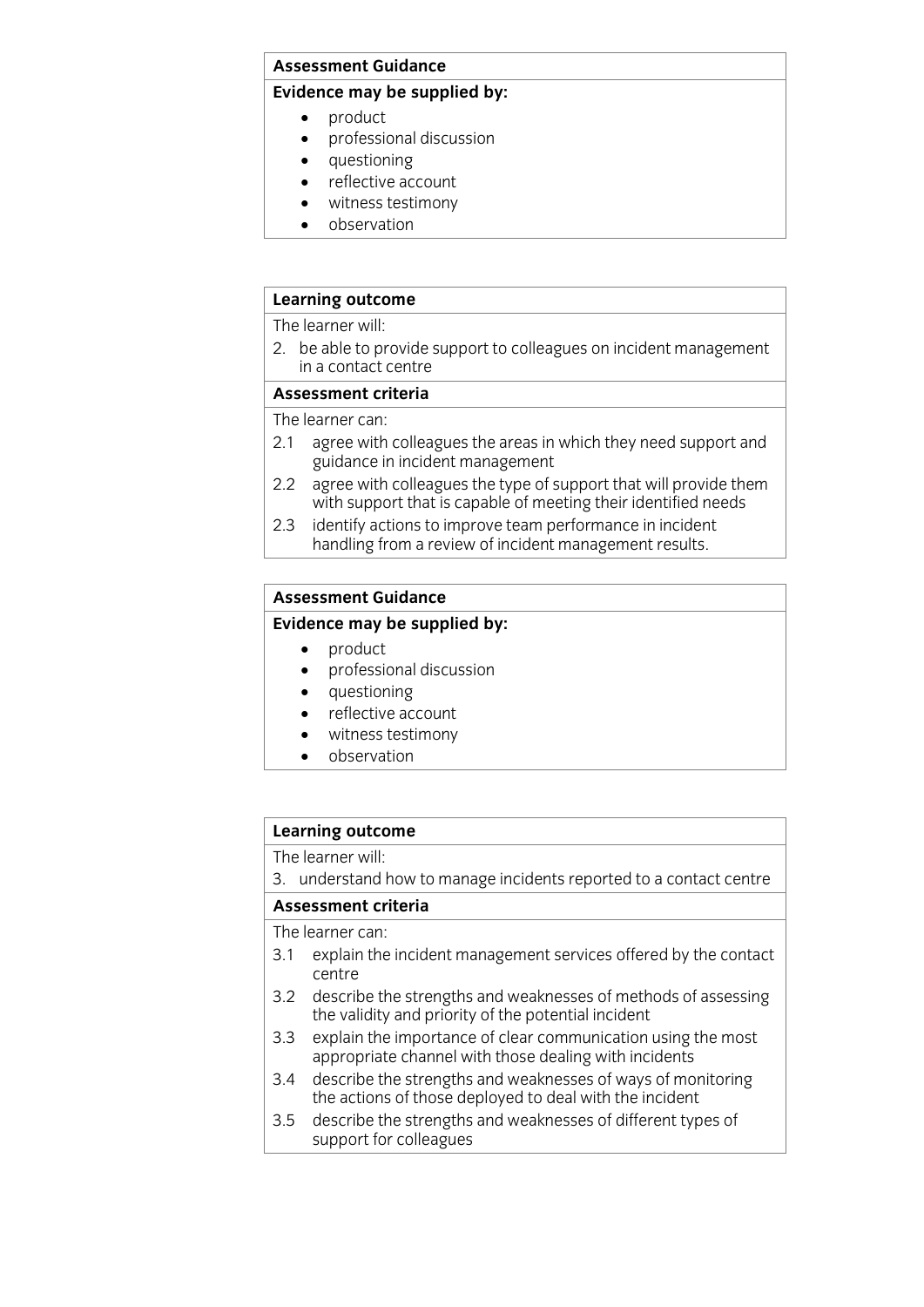#### **Assessment Guidance**

#### **Evidence may be supplied by:**

- 
- product<br>• product<br>• professional discussion professional discussion
	- questioning
	- reflective account
	- witness testimony
	- observation

#### **Learning outcome**

The learner will:

2. be able to provide support to colleagues on incident management in a contact centre

#### Assessment criteria

The learner can:

- 2.1 agree with colleagues the areas in which they need support and guidance in incident management
- agree with colleagues the type of support that will provide them 2.2 agree with colleagues the type of support that will provide the<br>with support that is capable of meeting their identified needs
- identify actions to improve team performance in incident  $2.3$ handling from a review of incident management results. handling from a review of incident management  $\sigma$

#### **Assessment Guidance**

#### **Evidence may be supplied by:**

- 
- product<br>• product<br>• professional discussion professional discussion
	- questioning
	- reflective account
	- witness testimony
	- observation

### **Learning outcome**<br>The learner will:

3. understand how to manage incidents reported to a contact centre

#### Assessment criteria

The learner can:

- 3.1 explain the incident management services offered by the contact  $\frac{1}{3}$ . The incident management services of  $\frac{1}{3}$  services of  $\frac{1}{3}$  services of  $\frac{1}{3}$ centre<br>describe the strengths and weaknesses of methods of assessing
- $3.2$ the validity and priority of the potential incident
- explain the importance of clear communication using the most 3.3 explain the importance of clear communication using the most oppropriate channel with those dealing with incidents
- describe the strengths and weaknesses of ways of monitoring 3.4 describe the strengths and weaknesses of ways of mor<br>the actions of those deployed to deal with the incident
- $3.5$ describe the strengths and weaknesses of different types of  $\frac{3}{5}$  support for colleagues  $\frac{1}{2}$